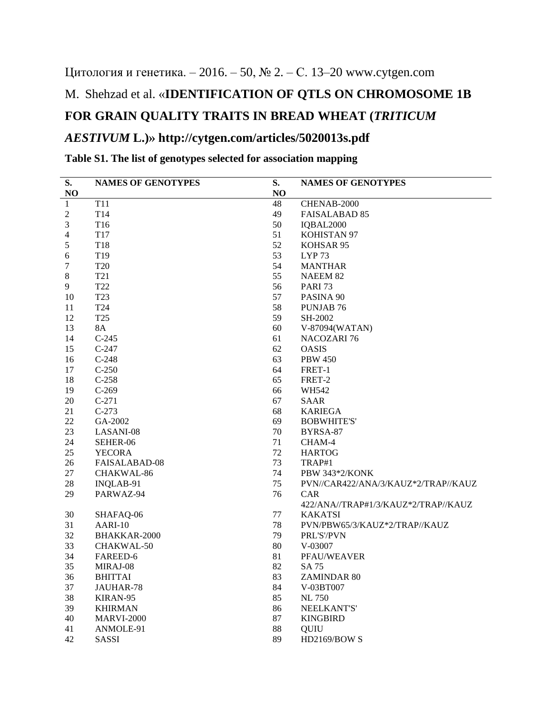# Цитология и генетика. – 2016. – 50, № 2. – С. 13–20 www.cytgen.com M. Shehzad et al. «**IDENTIFICATION OF QTLS ON CHROMOSOME 1B FOR GRAIN QUALITY TRAITS IN BREAD WHEAT (***TRITICUM AESTIVUM* **L.)» http://cytgen.com/articles/5020013s.pdf**

#### **S. NO NAMES OF GENOTYPES S. NO NAMES OF GENOTYPES** 1 T11 48 CHENAB-2000 2 T14 **49 FAISALABAD 85**  T16 50 IQBAL2000 T17 51 KOHISTAN 97 5 T18 52 KOHSAR 95 T19 53 LYP 73 T20 54 MANTHAR 8 T21 55 NAEEM 82 T22 56 PARI 73 10 T23 57 PASINA 90 T24 58 PUNJAB 76 T25 59 SH-2002 8A 60 V-87094(WATAN) C-245 61 NACOZARI 76 C-247 62 OASIS C-248 63 PBW 450 C-250 64 FRET-1 18 C-258 65 FRET-2 19 C-269 66 WH542 20 C-271 67 SAAR C-273 68 KARIEGA GA-2002 69 BOBWHITE'S' LASANI-08 70 BYRSA-87 SEHER-06 71 CHAM-4 YECORA 72 HARTOG FAISALABAD-08 73 TRAP#1 CHAKWAL-86 74 PBW 343\*2/KONK INQLAB-91 75 PVN//CAR422/ANA/3/KAUZ\*2/TRAP//KAUZ PARWAZ-94 76 CAR 422/ANA//TRAP#1/3/KAUZ\*2/TRAP//KAUZ SHAFAQ-06 77 KAKATSI AARI-10 78 PVN/PBW65/3/KAUZ\*2/TRAP//KAUZ BHAKKAR-2000 79 PRL'S'/PVN CHAKWAL-50 80 V-03007 FAREED-6 81 PFAU/WEAVER MIRAJ-08 82 SA 75 BHITTAI 83 ZAMINDAR 80 JAUHAR-78 84 V-03BT007 KIRAN-95 85 NL 750 KHIRMAN 86 NEELKANT'S' MARVI-2000 87 KINGBIRD ANMOLE-91 88 QUIU SASSI 89 HD2169/BOW S

#### **Table S1. The list of genotypes selected for association mapping**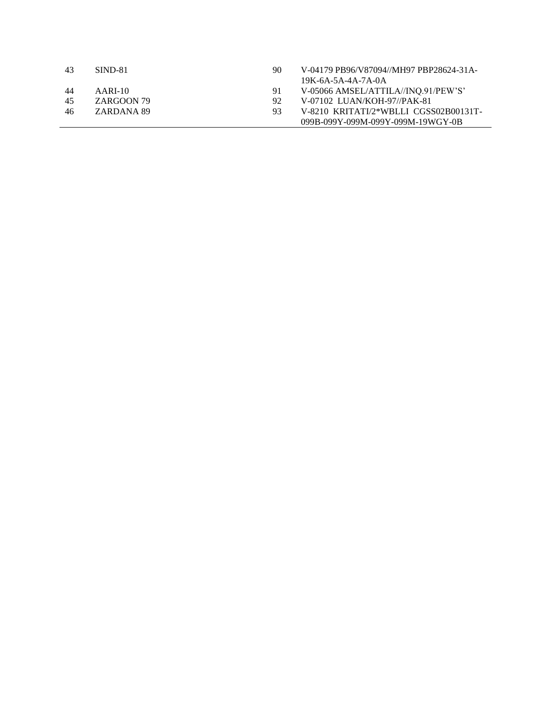| 43  | SIND-81    | 90  | V-04179 PB96/V87094//MH97 PBP28624-31A- |
|-----|------------|-----|-----------------------------------------|
|     |            |     | $19K-6A-5A-4A-7A-0A$                    |
| -44 | $AARI-10$  | 91  | V-05066 AMSEL/ATTILA//INO.91/PEW'S'     |
| 45  | ZARGOON 79 | 92. | V-07102 LUAN/KOH-97//PAK-81             |
| 46  | ZARDANA 89 | 93  | V-8210 KRITATI/2*WBLLI CGSS02B00131T-   |
|     |            |     | 099B-099Y-099M-099Y-099M-19WGY-0B       |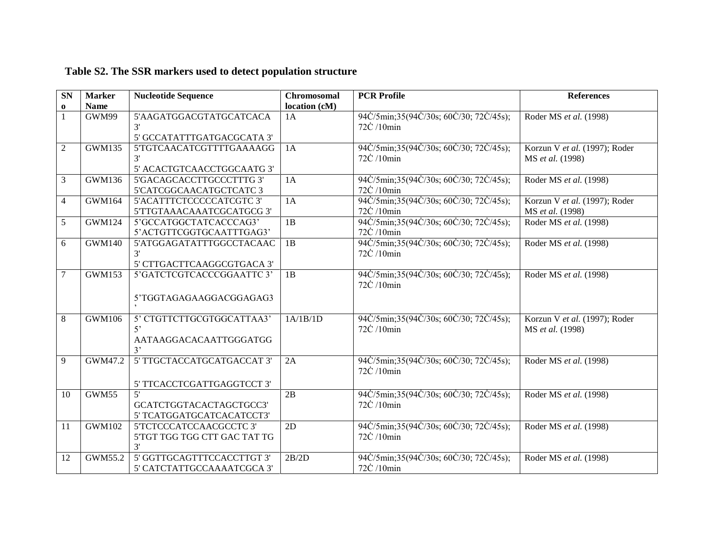| <b>SN</b>      | <b>Marker</b> | <b>Nucleotide Sequence</b>   | <b>Chromosomal</b> | <b>PCR Profile</b>                      | <b>References</b>             |
|----------------|---------------|------------------------------|--------------------|-----------------------------------------|-------------------------------|
| $\bf{0}$       | <b>Name</b>   |                              | location (cM)      |                                         |                               |
| $\mathbf{1}$   | GWM99         | 5'AAGATGGACGTATGCATCACA      | 1A                 | 94C/5min;35(94C/30s; 60C/30; 72C/45s);  | Roder MS et al. (1998)        |
|                |               |                              |                    | 72C /10min                              |                               |
|                |               | 5' GCCATATTTGATGACGCATA 3'   |                    |                                         |                               |
| $\overline{2}$ | <b>GWM135</b> | 5'TGTCAACATCGTTTTGAAAAGG     | 1A                 | 94C/5min;35(94C/30s; 60C/30; 72C/45s);  | Korzun V et al. (1997); Roder |
|                |               | 3'                           |                    | 72C /10min                              | MS et al. (1998)              |
|                |               | 5' ACACTGTCAACCTGGCAATG 3'   |                    |                                         |                               |
| 3              | <b>GWM136</b> | 5'GACAGCACCTTGCCCTTTG 3'     | 1A                 | 94C/5min;35(94C/30s; 60C/30; 72C/45s);  | Roder MS et al. (1998)        |
|                |               | 5'CATCGGCAACATGCTCATC 3      |                    | 72C /10min                              |                               |
| $\overline{4}$ | <b>GWM164</b> | 5'ACATTTCTCCCCCATCGTC 3'     | 1A                 | 94C/5min;35(94C/30s; 60C/30; 72C/45s);  | Korzun V et al. (1997); Roder |
|                |               | 5'TTGTAAACAAATCGCATGCG 3'    |                    | 72C /10min                              | MS et al. (1998)              |
| 5              | <b>GWM124</b> | 5'GCCATGGCTATCACCCAG3'       | 1B                 | 94C/5min;35(94C/30s; 60C/30; 72C/45s);  | Roder MS et al. (1998)        |
|                |               | 5'ACTGTTCGGTGCAATTTGAG3'     |                    | 72C /10min                              |                               |
| 6              | <b>GWM140</b> | 5'ATGGAGATATTTGGCCTACAAC     | 1B                 | 94C/5min;35(94C/30s; 60C/30; 72C/45s);  | Roder MS et al. (1998)        |
|                |               | 3'                           |                    | 72C /10min                              |                               |
|                |               | 5' CTTGACTTCAAGGCGTGACA 3'   |                    |                                         |                               |
| 7              | <b>GWM153</b> | 5'GATCTCGTCACCCGGAATTC 3'    | 1B                 | 94C/5min;35(94C/30s; 60C/30; 72C/45s);  | Roder MS et al. (1998)        |
|                |               |                              |                    | 72C /10min                              |                               |
|                |               | 5'TGGTAGAGAAGGACGGAGAG3      |                    |                                         |                               |
|                |               |                              |                    |                                         |                               |
| 8              | <b>GWM106</b> | 5' CTGTTCTTGCGTGGCATTAA3'    | 1A/1B/1D           | 94C/5min;35(94C/30s; 60C/30; 72C/45s);  | Korzun V et al. (1997); Roder |
|                |               | 5'                           |                    | 72C /10min                              | MS et al. (1998)              |
|                |               | AATAAGGACACAATTGGGATGG       |                    |                                         |                               |
|                |               | 3'                           |                    |                                         |                               |
| 9              | GWM47.2       | 5' TTGCTACCATGCATGACCAT 3'   | 2A                 | 94C/5min;35(94C/30s; 60C/30; 72C/45s);  | Roder MS et al. (1998)        |
|                |               |                              |                    | 72C /10min                              |                               |
|                |               | 5' TTCACCTCGATTGAGGTCCT 3'   |                    |                                         |                               |
| 10             | GWM55         | 5'                           | 2B                 | 94C/5min; 35(94C/30s; 60C/30; 72C/45s); | Roder MS et al. (1998)        |
|                |               | GCATCTGGTACACTAGCTGCC3'      |                    | 72C /10min                              |                               |
|                |               | 5' TCATGGATGCATCACATCCT3'    |                    |                                         |                               |
| 11             | <b>GWM102</b> | 5'TCTCCCATCCAACGCCTC 3'      | 2D                 | 94C/5min;35(94C/30s; 60C/30; 72C/45s);  | Roder MS et al. (1998)        |
|                |               | 5'TGT TGG TGG CTT GAC TAT TG |                    | 72C /10min                              |                               |
|                |               | 3'                           |                    |                                         |                               |
| 12             | GWM55.2       | 5' GGTTGCAGTTTCCACCTTGT 3'   | 2B/2D              | 94C/5min;35(94C/30s; 60C/30; 72C/45s);  | Roder MS et al. (1998)        |
|                |               | 5' CATCTATTGCCAAAATCGCA 3'   |                    | 72C /10min                              |                               |

## **Table S2. The SSR markers used to detect population structure**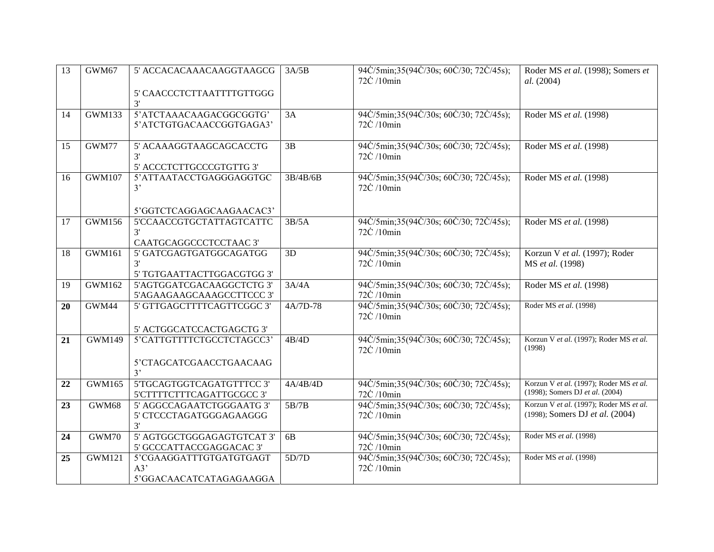| $\overline{13}$ | GWM67         | 5' ACCACACAAACAAGGTAAGCG                             | 3A/5B           | 94C/5min;35(94C/30s; 60C/30; 72C/45s);               | Roder MS et al. (1998); Somers et       |
|-----------------|---------------|------------------------------------------------------|-----------------|------------------------------------------------------|-----------------------------------------|
|                 |               |                                                      |                 | 72C /10min                                           | al. (2004)                              |
|                 |               | 5' CAACCCTCTTAATTTTGTTGGG                            |                 |                                                      |                                         |
|                 |               | 3'                                                   |                 |                                                      |                                         |
| 14              | GWM133        | 5'ATCTAAACAAGACGGCGGTG'                              | 3A              | 94C/5min;35(94C/30s; 60C/30; 72C/45s);               | Roder MS et al. (1998)                  |
|                 |               | 5'ATCTGTGACAACCGGTGAGA3'                             |                 | 72C /10min                                           |                                         |
|                 |               |                                                      |                 |                                                      |                                         |
| 15              | GWM77         | 5' ACAAAGGTAAGCAGCACCTG                              | $\overline{3B}$ | 94C/5min;35(94C/30s; 60C/30; 72C/45s);               | Roder MS et al. (1998)                  |
|                 |               | 3'                                                   |                 | 72C /10min                                           |                                         |
|                 |               | 5' ACCCTCTTGCCCGTGTTG 3'                             |                 |                                                      |                                         |
| 16              | <b>GWM107</b> | 5'ATTAATACCTGAGGGAGGTGC                              | 3B/4B/6B        | 94C/5min;35(94C/30s; 60C/30; 72C/45s);               | Roder MS et al. (1998)                  |
|                 |               | 3'                                                   |                 | $72\dot{C}$ /10 $\text{min}$                         |                                         |
|                 |               |                                                      |                 |                                                      |                                         |
|                 | <b>GWM156</b> | 5'GGTCTCAGGAGCAAGAACAC3'<br>5'CCAACCGTGCTATTAGTCATTC | 3B/5A           |                                                      |                                         |
| 17              |               | 3'                                                   |                 | 94C/5min;35(94C/30s; 60C/30; 72C/45s);<br>72C /10min | Roder MS et al. (1998)                  |
|                 |               | CAATGCAGGCCCTCCTAAC 3'                               |                 |                                                      |                                         |
| 18              | <b>GWM161</b> | 5' GATCGAGTGATGGCAGATGG                              | 3D              | 94C/5min;35(94C/30s; 60C/30; 72C/45s);               | Korzun V et al. (1997); Roder           |
|                 |               | 3'                                                   |                 | 72C /10min                                           | MS et al. (1998)                        |
|                 |               | 5' TGTGAATTACTTGGACGTGG 3'                           |                 |                                                      |                                         |
| 19              | <b>GWM162</b> | 5'AGTGGATCGACAAGGCTCTG 3'                            | 3A/4A           | 94C/5min;35(94C/30s; 60C/30; 72C/45s);               | Roder MS et al. (1998)                  |
|                 |               | 5'AGAAGAAGCAAAGCCTTCCC 3'                            |                 | 72C /10min                                           |                                         |
| 20              | GWM44         | 5' GTTGAGCTTTTCAGTTCGGC 3'                           | 4A/7D-78        | 94C/5min;35(94C/30s; 60C/30; 72C/45s);               | Roder MS et al. (1998)                  |
|                 |               |                                                      |                 | 72C /10min                                           |                                         |
|                 |               | 5' ACTGGCATCCACTGAGCTG 3'                            |                 |                                                      |                                         |
| 21              | <b>GWM149</b> | 5'CATTGTTTTCTGCCTCTAGCC3'                            | 4B/4D           | 94C/5min;35(94C/30s; 60C/30; 72C/45s);               | Korzun V et al. (1997); Roder MS et al. |
|                 |               |                                                      |                 | 72C /10min                                           | (1998)                                  |
|                 |               | 5'CTAGCATCGAACCTGAACAAG                              |                 |                                                      |                                         |
|                 |               | 3'                                                   |                 |                                                      |                                         |
| 22              | <b>GWM165</b> | 5'TGCAGTGGTCAGATGTTTCC 3'                            | 4A/4B/4D        | 94C/5min;35(94C/30s; 60C/30; 72C/45s);               | Korzun V et al. (1997); Roder MS et al. |
|                 |               | 5'CTTTTCTTTCAGATTGCGCC 3'                            |                 | 72C /10min                                           | (1998); Somers DJ et al. (2004)         |
| 23              | GWM68         | 5' AGGCCAGAATCTGGGAATG 3'                            | 5B/7B           | 94C/5min;35(94C/30s; 60C/30; 72C/45s);               | Korzun V et al. (1997); Roder MS et al. |
|                 |               | 5' CTCCCTAGATGGGAGAAGGG                              |                 | 72C /10min                                           | (1998); Somers DJ et al. (2004)         |
|                 |               | 3'                                                   |                 |                                                      |                                         |
| 24              | GWM70         | 5' AGTGGCTGGGAGAGTGTCAT 3'                           | 6B              | 94C/5min;35(94C/30s; 60C/30; 72C/45s);               | Roder MS et al. (1998)                  |
|                 |               | 5' GCCCATTACCGAGGACAC 3'                             |                 | 72C /10min                                           |                                         |
| 25              | <b>GWM121</b> | 5'CGAAGGATTTGTGATGTGAGT                              | 5D/7D           | 94C/5min;35(94C/30s; 60C/30; 72C/45s);               | Roder MS et al. (1998)                  |
|                 |               | A3'                                                  |                 | 72C /10min                                           |                                         |
|                 |               | 5'GGACAACATCATAGAGAAGGA                              |                 |                                                      |                                         |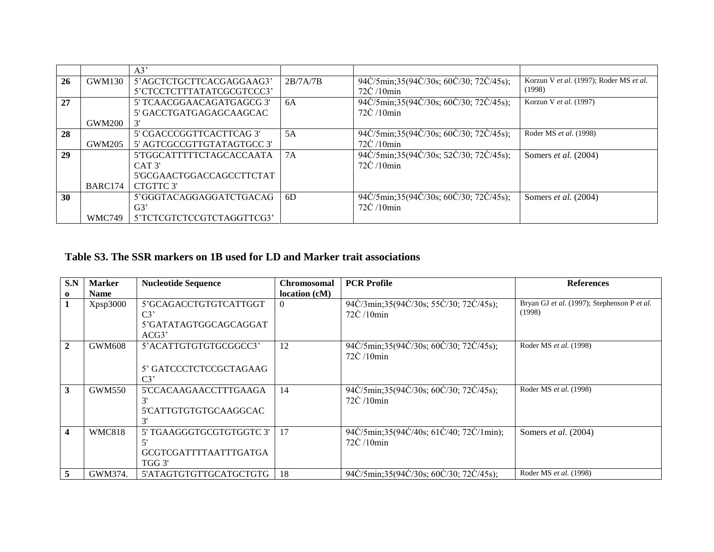|    |               | A3'                        |          |                                        |                                         |
|----|---------------|----------------------------|----------|----------------------------------------|-----------------------------------------|
| 26 | GWM130        | 5'AGCTCTGCTTCACGAGGAAG3'   | 2B/7A/7B | 94C/5min;35(94C/30s; 60C/30; 72C/45s); | Korzun V et al. (1997); Roder MS et al. |
|    |               | 5'CTCCTCTTTATATCGCGTCCC3'  |          | $72\text{C}/10\text{min}$              | (1998)                                  |
| 27 |               | 5' TCAACGGAACAGATGAGCG 3'  | 6A       | 94C/5min;35(94C/30s; 60C/30; 72C/45s); | Korzun V et al. (1997)                  |
|    |               | 5' GACCTGATGAGAGCAAGCAC    |          | 72C /10min                             |                                         |
|    | GWM200        |                            |          |                                        |                                         |
| 28 |               | 5' CGACCCGGTTCACTTCAG 3'   | 5A       | 94C/5min;35(94C/30s; 60C/30; 72C/45s); | Roder MS et al. (1998)                  |
|    | GWM205        | 5' AGTCGCCGTTGTATAGTGCC 3' |          | $72\text{C}/10\text{min}$              |                                         |
| 29 |               | 5'TGGCATTTTTCTAGCACCAATA   | 7A       | 94C/5min;35(94C/30s; 52C/30; 72C/45s); | Somers et al. (2004)                    |
|    |               | CAT 3'                     |          | $72\dot{C}/10$ min                     |                                         |
|    |               | 5'GCGAACTGGACCAGCCTTCTAT   |          |                                        |                                         |
|    | BARC174       | CTGTTC 3'                  |          |                                        |                                         |
| 30 |               | 5'GGGTACAGGAGGATCTGACAG    | 6D       | 94C/5min;35(94C/30s; 60C/30; 72C/45s); | Somers et al. (2004)                    |
|    |               | G3'                        |          | 72C /10min                             |                                         |
|    | <b>WMC749</b> | 5'TCTCGTCTCCGTCTAGGTTCG3'  |          |                                        |                                         |

### **Table S3. The SSR markers on 1B used for LD and Marker trait associations**

| S.N                     | <b>Marker</b> | <b>Nucleotide Sequence</b>                                                | <b>Chromosomal</b> | <b>PCR Profile</b>                                                  | <b>References</b>                                     |
|-------------------------|---------------|---------------------------------------------------------------------------|--------------------|---------------------------------------------------------------------|-------------------------------------------------------|
| $\mathbf 0$             | <b>Name</b>   |                                                                           | location (cM)      |                                                                     |                                                       |
| $\mathbf{1}$            | Xpsp3000      | 5'GCAGACCTGTGTCATTGGT<br>C <sub>3</sub><br>5'GATATAGTGGCAGCAGGAT<br>ACG3' | $\theta$           | 94C/3min;35(94C/30s; 55C/30; 72C/45s);<br>$72\text{C}/10\text{min}$ | Bryan GJ et al. (1997); Stephenson P et al.<br>(1998) |
| $\overline{2}$          | GWM608        | 5'ACATTGTGTGTGCGGCC3'<br>5' GATCCCTCTCCGCTAGAAG<br>$C3$ <sup>-</sup>      | 12                 | 94C/5min;35(94C/30s; 60C/30; 72C/45s);<br>$72\text{C}/10\text{min}$ | Roder MS et al. (1998)                                |
| $\overline{3}$          | <b>GWM550</b> | 5'CCACAAGAACCTTTGAAGA<br>3'<br>5'CATTGTGTGTGCAAGGCAC                      | 14                 | 94C/5min;35(94C/30s; 60C/30; 72C/45s);<br>$72\text{C}/10\text{min}$ | Roder MS et al. (1998)                                |
| $\overline{\mathbf{4}}$ | <b>WMC818</b> | 5' TGAAGGGTGCGTGTGGTC 3'<br><b>GCGTCGATTTTAATTTGATGA</b><br>TGG 3'        | 17                 | 94C/5min;35(94C/40s; 61C/40; 72C/1min);<br>72C /10min               | Somers <i>et al.</i> $(2004)$                         |
| $\overline{5}$          | GWM374.       | 5'ATAGTGTGTTGCATGCTGTG                                                    | 18                 | 94C/5min;35(94C/30s; 60C/30; 72C/45s);                              | Roder MS et al. (1998)                                |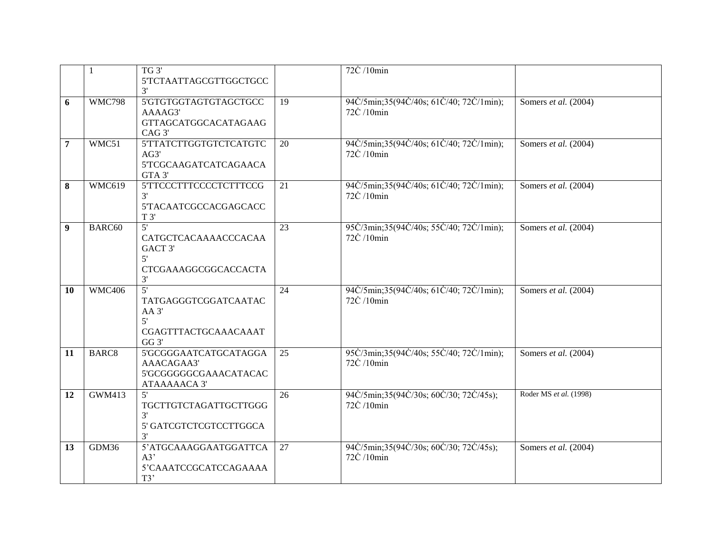|                  | $\mathbf{1}$      | TG <sub>3</sub>                                                                                    |                 | 72C /10min                                            |                        |
|------------------|-------------------|----------------------------------------------------------------------------------------------------|-----------------|-------------------------------------------------------|------------------------|
|                  |                   | 5'TCTAATTAGCGTTGGCTGCC                                                                             |                 |                                                       |                        |
|                  |                   | 3'                                                                                                 |                 |                                                       |                        |
| 6                | <b>WMC798</b>     | 5'GTGTGGTAGTGTAGCTGCC<br>AAAAG3'<br><b>GTTAGCATGGCACATAGAAG</b><br>CAG <sub>3</sub>                | $\overline{19}$ | 94C/5min;35(94C/40s; 61C/40; 72C/1min);<br>72C /10min | Somers et al. $(2004)$ |
| 7                | WMC51             | 5'TTATCTTGGTGTCTCATGTC<br>AG3'<br>5'TCGCAAGATCATCAGAACA<br>GTA 3'                                  | 20              | 94C/5min;35(94C/40s; 61C/40; 72C/1min);<br>72C /10min | Somers et al. (2004)   |
| 8                | <b>WMC619</b>     | 5TTCCCTTTCCCCTCTTTCCG<br>3'<br>5TACAATCGCCACGAGCACC<br>T 3'                                        | 21              | 94C/5min;35(94C/40s; 61C/40; 72C/1min);<br>72C /10min | Somers et al. (2004)   |
| $\boldsymbol{9}$ | BARC60            | 5'<br>CATGCTCACAAAACCCACAA<br>GACT 3'<br>5'<br><b>CTCGAAAGGCGGCACCACTA</b><br>3'                   | $\overline{23}$ | 95C/3min;35(94C/40s; 55C/40; 72C/1min);<br>72C /10min | Somers et al. (2004)   |
| 10               | <b>WMC406</b>     | $\overline{5}$<br>TATGAGGGTCGGATCAATAC<br>$AA$ 3'<br>5'<br>CGAGTTTACTGCAAACAAAT<br>GG <sub>3</sub> | 24              | 94C/5min;35(94C/40s; 61C/40; 72C/1min);<br>72C /10min | Somers et al. (2004)   |
| 11               | BARC <sub>8</sub> | 5'GCGGGAATCATGCATAGGA<br>AAACAGAA3'<br>5'GCGGGGGCGAAACATACAC<br>ATAAAAACA 3'                       | $\overline{25}$ | 95C/3min;35(94C/40s; 55C/40; 72C/1min);<br>72C /10min | Somers et al. (2004)   |
| 12               | <b>GWM413</b>     | 5'<br>TGCTTGTCTAGATTGCTTGGG<br>3'<br>5' GATCGTCTCGTCCTTGGCA<br>3'                                  | $\overline{26}$ | 94C/5min;35(94C/30s; 60C/30; 72C/45s);<br>72C /10min  | Roder MS et al. (1998) |
| 13               | GDM36             | 5'ATGCAAAGGAATGGATTCA<br>A3'<br>5'CAAATCCGCATCCAGAAAA<br>T3'                                       | 27              | 94C/5min;35(94C/30s; 60C/30; 72C/45s);<br>72C /10min  | Somers et al. (2004)   |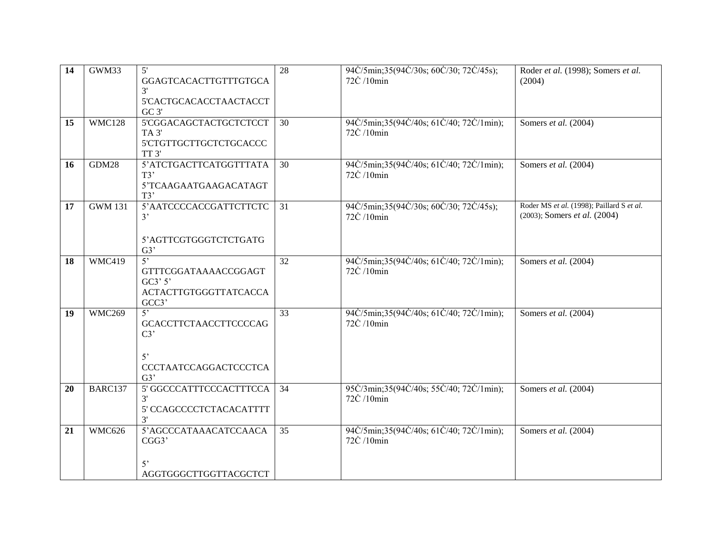| $\overline{14}$ | GWM33          | 5'                           | 28              | 94C/5min;35(94C/30s; 60C/30; 72C/45s);   | Roder et al. (1998); Somers et al.        |
|-----------------|----------------|------------------------------|-----------------|------------------------------------------|-------------------------------------------|
|                 |                | GGAGTCACACTTGTTTGTGCA        |                 | 72C /10min                               | (2004)                                    |
|                 |                | 3'                           |                 |                                          |                                           |
|                 |                | 5'CACTGCACACCTAACTACCT       |                 |                                          |                                           |
|                 |                | GC 3'                        |                 |                                          |                                           |
| 15              | <b>WMC128</b>  | 5'CGGACAGCTACTGCTCTCCT       | 30              | 94C/5min;35(94C/40s; 61C/40; 72C/1min);  | Somers et al. (2004)                      |
|                 |                | TA <sub>3</sub>              |                 | 72C /10min                               |                                           |
|                 |                | 5'CTGTTGCTTGCTCTGCACCC       |                 |                                          |                                           |
|                 |                | TT <sub>3</sub>              |                 |                                          |                                           |
| 16              | GDM28          | 5'ATCTGACTTCATGGTTTATA       | 30              | 94C/5min; 35(94C/40s; 61C/40; 72C/1min); | Somers et al. (2004)                      |
|                 |                | T3'                          |                 | 72C /10min                               |                                           |
|                 |                | 5'TCAAGAATGAAGACATAGT        |                 |                                          |                                           |
|                 |                | T3'                          |                 |                                          |                                           |
| 17              | <b>GWM 131</b> | 5'AATCCCCACCGATTCTTCTC       | 31              | 94C/5min;35(94C/30s; 60C/30; 72C/45s);   | Roder MS et al. (1998); Paillard S et al. |
|                 |                | 3'                           |                 | 72C /10min                               | (2003); Somers et al. (2004)              |
|                 |                |                              |                 |                                          |                                           |
|                 |                | 5'AGTTCGTGGGTCTCTGATG        |                 |                                          |                                           |
|                 |                | G3'                          |                 |                                          |                                           |
| 18              | WMC419         | 5'                           | $\overline{32}$ | 94C/5min;35(94C/40s; 61C/40; 72C/1min);  | Somers et al. (2004)                      |
|                 |                | GTTTCGGATAAAACCGGAGT         |                 | 72C /10min                               |                                           |
|                 |                | GC3'3'                       |                 |                                          |                                           |
|                 |                | <b>ACTACTTGTGGGTTATCACCA</b> |                 |                                          |                                           |
|                 |                | GCC3'                        |                 |                                          |                                           |
| 19              | <b>WMC269</b>  | 5'                           | 33              | 94C/5min;35(94C/40s; 61C/40; 72C/1min);  | Somers et al. (2004)                      |
|                 |                | <b>GCACCTTCTAACCTTCCCCAG</b> |                 | 72C /10min                               |                                           |
|                 |                | C3                           |                 |                                          |                                           |
|                 |                |                              |                 |                                          |                                           |
|                 |                | $5^{\circ}$                  |                 |                                          |                                           |
|                 |                | <b>CCCTAATCCAGGACTCCCTCA</b> |                 |                                          |                                           |
|                 |                | G3'                          |                 |                                          |                                           |
| 20              | BARC137        | 5' GGCCCATTTCCCACTTTCCA      | 34              | 95C/3min;35(94C/40s; 55C/40; 72C/1min);  | Somers et al. (2004)                      |
|                 |                | 3'                           |                 | 72C /10min                               |                                           |
|                 |                | 5' CCAGCCCCTCTACACATTTT      |                 |                                          |                                           |
|                 |                | 3'                           |                 |                                          |                                           |
| 21              | <b>WMC626</b>  | 5'AGCCCATAAACATCCAACA        | 35              | 94C/5min;35(94C/40s; 61C/40; 72C/1min);  | Somers et al. (2004)                      |
|                 |                | CGG3'                        |                 | 72C /10min                               |                                           |
|                 |                |                              |                 |                                          |                                           |
|                 |                | $5^{\circ}$                  |                 |                                          |                                           |
|                 |                | AGGTGGGCTTGGTTACGCTCT        |                 |                                          |                                           |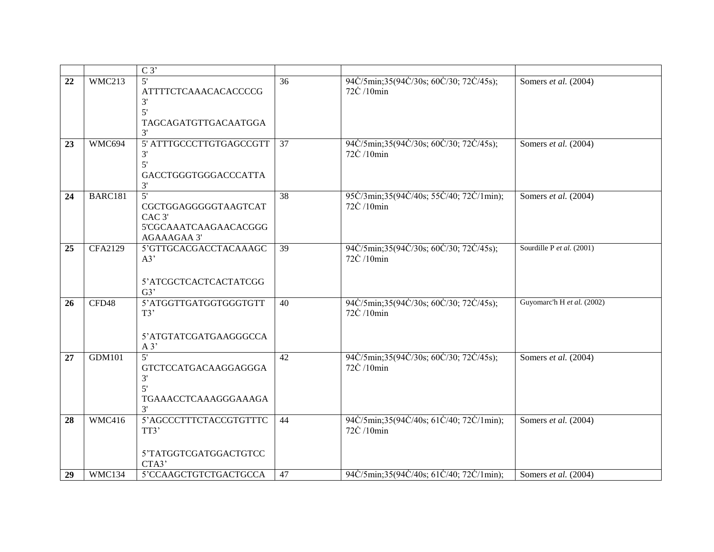|    |                | $\overline{C3'}$                                                                                            |                 |                                                       |                            |
|----|----------------|-------------------------------------------------------------------------------------------------------------|-----------------|-------------------------------------------------------|----------------------------|
| 22 | WMC213         | 5'<br><b>ATTTTCTCAAACACACCCCG</b><br>3'<br>5'<br>TAGCAGATGTTGACAATGGA<br>3'                                 | 36              | 94C/5min;35(94C/30s; 60C/30; 72C/45s);<br>72C /10min  | Somers et al. (2004)       |
| 23 | WMC694         | 5' ATTTGCCCTTGTGAGCCGTT<br>3'<br>5'<br>GACCTGGGTGGGACCCATTA<br>3'                                           | 37              | 94C/5min;35(94C/30s; 60C/30; 72C/45s);<br>72C /10min  | Somers et al. (2004)       |
| 24 | BARC181        | $\overline{5}$<br>CGCTGGAGGGGGTAAGTCAT<br>CAC <sub>3</sub> '<br>5'CGCAAATCAAGAACACGGG<br><b>AGAAAGAA 3'</b> | $\overline{38}$ | 95C/3min;35(94C/40s; 55C/40; 72C/1min);<br>72C /10min | Somers et al. (2004)       |
| 25 | <b>CFA2129</b> | 5'GTTGCACGACCTACAAAGC<br>A3'<br>5'ATCGCTCACTCACTATCGG<br>G3'                                                | 39              | 94C/5min;35(94C/30s; 60C/30; 72C/45s);<br>72C /10min  | Sourdille P et al. (2001)  |
| 26 | CFD48          | 5'ATGGTTGATGGTGGGTGTT<br>T3'<br>5'ATGTATCGATGAAGGGCCA<br>$A$ 3'                                             | 40              | 94C/5min;35(94C/30s; 60C/30; 72C/45s);<br>72C /10min  | Guyomarc'h H et al. (2002) |
| 27 | <b>GDM101</b>  | 5'<br><b>GTCTCCATGACAAGGAGGGA</b><br>3'<br>5'<br>TGAAACCTCAAAGGGAAAGA<br>3'                                 | $\overline{42}$ | 94C/5min;35(94C/30s; 60C/30; 72C/45s);<br>72C /10min  | Somers et al. (2004)       |
| 28 | <b>WMC416</b>  | 5'AGCCCTTTCTACCGTGTTTC<br>TT3'<br>5'TATGGTCGATGGACTGTCC<br>CTA3'                                            | 44              | 94C/5min;35(94C/40s; 61C/40; 72C/1min);<br>72C /10min | Somers et al. (2004)       |
| 29 | WMC134         | 5'CCAAGCTGTCTGACTGCCA                                                                                       | 47              | 94C/5min;35(94C/40s; 61C/40; 72C/1min);               | Somers et al. (2004)       |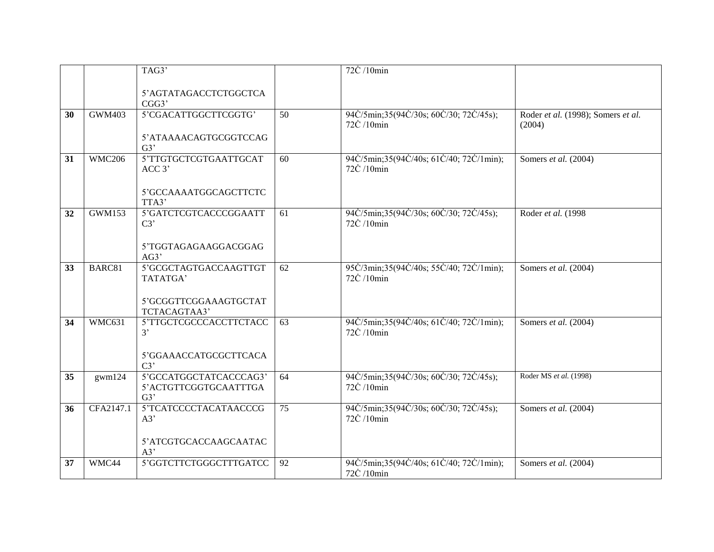|    |               | TAG3'                                                  |                 | 72C /10min                                            |                                              |
|----|---------------|--------------------------------------------------------|-----------------|-------------------------------------------------------|----------------------------------------------|
|    |               |                                                        |                 |                                                       |                                              |
|    |               | 5'AGTATAGACCTCTGGCTCA<br>CGG3'                         |                 |                                                       |                                              |
| 30 | <b>GWM403</b> | 5'CGACATTGGCTTCGGTG'                                   | 50              | 94C/5min;35(94C/30s; 60C/30; 72C/45s);<br>72C /10min  | Roder et al. (1998); Somers et al.<br>(2004) |
|    |               | 5'ATAAAACAGTGCGGTCCAG<br>G3'                           |                 |                                                       |                                              |
| 31 | <b>WMC206</b> | 5'TTGTGCTCGTGAATTGCAT<br>ACC 3'                        | 60              | 94C/5min;35(94C/40s; 61C/40; 72C/1min);<br>72C /10min | Somers et al. (2004)                         |
|    |               | 5'GCCAAAATGGCAGCTTCTC<br>TTA3'                         |                 |                                                       |                                              |
| 32 | <b>GWM153</b> | 5'GATCTCGTCACCCGGAATT<br>C3'                           | 61              | 94C/5min;35(94C/30s; 60C/30; 72C/45s);<br>72C /10min  | Roder et al. (1998                           |
|    |               | 5'TGGTAGAGAAGGACGGAG<br>AG3'                           |                 |                                                       |                                              |
| 33 | BARC81        | 5'GCGCTAGTGACCAAGTTGT<br>TATATGA'                      | 62              | 95C/3min;35(94C/40s; 55C/40; 72C/1min);<br>72C /10min | Somers et al. (2004)                         |
|    |               | 5'GCGGTTCGGAAAGTGCTAT<br>TCTACAGTAA3'                  |                 |                                                       |                                              |
| 34 | WMC631        | 5'TTGCTCGCCCACCTTCTACC<br>3'                           | 63              | 94C/5min;35(94C/40s; 61C/40; 72C/1min);<br>72C /10min | Somers et al. (2004)                         |
|    |               | 5'GGAAACCATGCGCTTCACA<br>C3'                           |                 |                                                       |                                              |
| 35 | gwm124        | 5'GCCATGGCTATCACCCAG3'<br>5'ACTGTTCGGTGCAATTTGA<br>G3' | 64              | 94C/5min;35(94C/30s; 60C/30; 72C/45s);<br>72C /10min  | Roder MS et al. (1998)                       |
| 36 | CFA2147.1     | 5'TCATCCCCTACATAACCCG<br>A3'                           | $\overline{75}$ | 94C/5min;35(94C/30s; 60C/30; 72C/45s);<br>72C /10min  | Somers et al. (2004)                         |
|    |               | 5'ATCGTGCACCAAGCAATAC<br>A3'                           |                 |                                                       |                                              |
| 37 | WMC44         | 5'GGTCTTCTGGGCTTTGATCC                                 | 92              | 94C/5min;35(94C/40s; 61C/40; 72C/1min);<br>72C /10min | Somers et al. (2004)                         |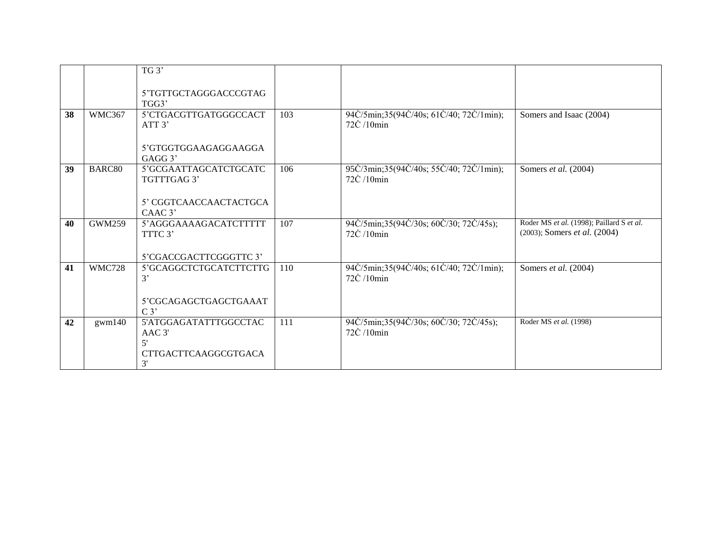|    |               | TG3'                                  |     |                                                                         |                                                                                       |
|----|---------------|---------------------------------------|-----|-------------------------------------------------------------------------|---------------------------------------------------------------------------------------|
|    |               | 5'TGTTGCTAGGGACCCGTAG                 |     |                                                                         |                                                                                       |
|    |               | TGG3'                                 |     |                                                                         |                                                                                       |
| 38 | WMC367        | 5'CTGACGTTGATGGGCCACT<br>ATT 3'       | 103 | 94C/5min;35(94C/40s; 61C/40; 72C/1min);<br>$72\dot{C}$ /10 $\text{min}$ | Somers and Isaac (2004)                                                               |
|    |               | 5'GTGGTGGAAGAGGAAGGA<br>$GAGG$ 3'     |     |                                                                         |                                                                                       |
| 39 | BARC80        | 5'GCGAATTAGCATCTGCATC<br>TGTTTGAG 3'  | 106 | 95C/3min;35(94C/40s; 55C/40; 72C/1min);<br>$72\dot{C}$ /10 $\text{min}$ | Somers et al. (2004)                                                                  |
|    |               | 5' CGGTCAACCAACTACTGCA<br>CAAC 3'     |     |                                                                         |                                                                                       |
| 40 | <b>GWM259</b> | 5'AGGGAAAAGACATCTTTTT<br>TTTC 3'      | 107 | 94C/5min;35(94C/30s; 60C/30; 72C/45s);<br>$72\dot{C}$ /10 $\text{min}$  | Roder MS et al. (1998); Paillard S et al.<br>$(2003)$ ; Somers <i>et al.</i> $(2004)$ |
|    |               | 5'CGACCGACTTCGGGTTC3'                 |     |                                                                         |                                                                                       |
| 41 | <b>WMC728</b> | 5'GCAGGCTCTGCATCTTCTTG<br>3'          | 110 | 94C/5min;35(94C/40s; 61C/40; 72C/1min);<br>$72\dot{C}$ /10 $\text{min}$ | Somers et al. (2004)                                                                  |
|    |               | 5'CGCAGAGCTGAGCTGAAAT<br>$C_3$        |     |                                                                         |                                                                                       |
| 42 | gwm140        | 5'ATGGAGATATTTGGCCTAC<br>AAC 3'<br>5' | 111 | 94C/5min;35(94C/30s; 60C/30; 72C/45s);<br>72C /10min                    | Roder MS et al. (1998)                                                                |
|    |               | <b>CTTGACTTCAAGGCGTGACA</b><br>3'     |     |                                                                         |                                                                                       |